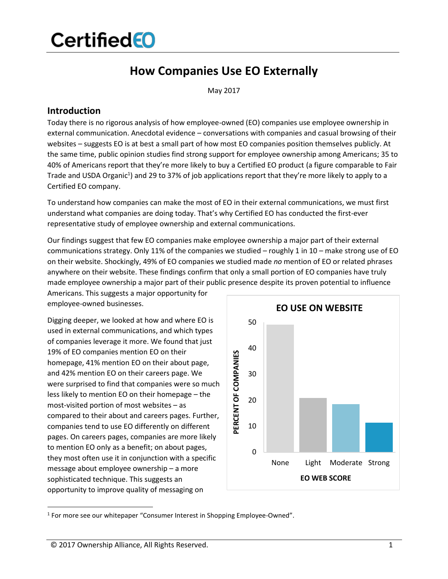## **How Companies Use EO Externally**

May 2017

### **Introduction**

Today there is no rigorous analysis of how employee-owned (EO) companies use employee ownership in external communication. Anecdotal evidence – conversations with companies and casual browsing of their websites – suggests EO is at best a small part of how most EO companies position themselves publicly. At the same time, public opinion studies find strong support for employee ownership among Americans; 35 to 40% of Americans report that they're more likely to buy a Certified EO product (a figure comparable to Fair Trade and USDA Organic<sup>1</sup>) and 29 to 37% of job applications report that they're more likely to apply to a Certified EO company.

To understand how companies can make the most of EO in their external communications, we must first understand what companies are doing today. That's why Certified EO has conducted the first-ever representative study of employee ownership and external communications.

Our findings suggest that few EO companies make employee ownership a major part of their external communications strategy. Only 11% of the companies we studied – roughly 1 in 10 – make strong use of EO on their website. Shockingly, 49% of EO companies we studied made *no* mention of EO or related phrases anywhere on their website. These findings confirm that only a small portion of EO companies have truly made employee ownership a major part of their public presence despite its proven potential to influence

Americans. This suggests a major opportunity for employee-owned businesses.

Digging deeper, we looked at how and where EO is used in external communications, and which types of companies leverage it more. We found that just 19% of EO companies mention EO on their homepage, 41% mention EO on their about page, and 42% mention EO on their careers page. We were surprised to find that companies were so much less likely to mention EO on their homepage – the most-visited portion of most websites – as compared to their about and careers pages. Further, companies tend to use EO differently on different pages. On careers pages, companies are more likely to mention EO only as a benefit; on about pages, they most often use it in conjunction with a specific message about employee ownership – a more sophisticated technique. This suggests an opportunity to improve quality of messaging on



<sup>&</sup>lt;sup>1</sup> For more see our whitepaper "Consumer Interest in Shopping Employee-Owned".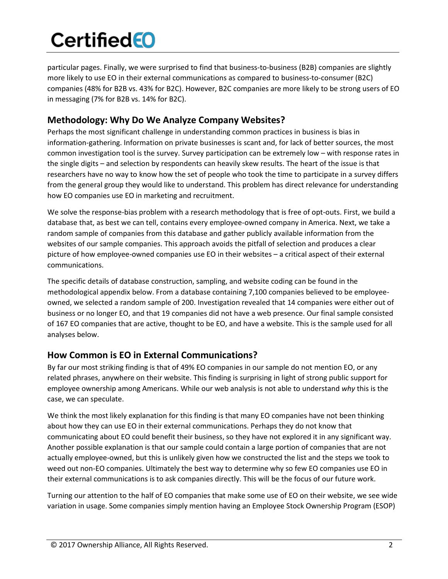particular pages. Finally, we were surprised to find that business-to-business (B2B) companies are slightly more likely to use EO in their external communications as compared to business-to-consumer (B2C) companies (48% for B2B vs. 43% for B2C). However, B2C companies are more likely to be strong users of EO in messaging (7% for B2B vs. 14% for B2C).

### **Methodology: Why Do We Analyze Company Websites?**

Perhaps the most significant challenge in understanding common practices in business is bias in information-gathering. Information on private businesses is scant and, for lack of better sources, the most common investigation tool is the survey. Survey participation can be extremely low – with response rates in the single digits – and selection by respondents can heavily skew results. The heart of the issue is that researchers have no way to know how the set of people who took the time to participate in a survey differs from the general group they would like to understand. This problem has direct relevance for understanding how EO companies use EO in marketing and recruitment.

We solve the response-bias problem with a research methodology that is free of opt-outs. First, we build a database that, as best we can tell, contains every employee-owned company in America. Next, we take a random sample of companies from this database and gather publicly available information from the websites of our sample companies. This approach avoids the pitfall of selection and produces a clear picture of how employee-owned companies use EO in their websites – a critical aspect of their external communications.

The specific details of database construction, sampling, and website coding can be found in the methodological appendix below. From a database containing 7,100 companies believed to be employeeowned, we selected a random sample of 200. Investigation revealed that 14 companies were either out of business or no longer EO, and that 19 companies did not have a web presence. Our final sample consisted of 167 EO companies that are active, thought to be EO, and have a website. This is the sample used for all analyses below.

## **How Common is EO in External Communications?**

By far our most striking finding is that of 49% EO companies in our sample do not mention EO, or any related phrases, anywhere on their website. This finding is surprising in light of strong public support for employee ownership among Americans. While our web analysis is not able to understand *why* this is the case, we can speculate.

We think the most likely explanation for this finding is that many EO companies have not been thinking about how they can use EO in their external communications. Perhaps they do not know that communicating about EO could benefit their business, so they have not explored it in any significant way. Another possible explanation is that our sample could contain a large portion of companies that are not actually employee-owned, but this is unlikely given how we constructed the list and the steps we took to weed out non-EO companies. Ultimately the best way to determine why so few EO companies use EO in their external communications is to ask companies directly. This will be the focus of our future work.

Turning our attention to the half of EO companies that make some use of EO on their website, we see wide variation in usage. Some companies simply mention having an Employee Stock Ownership Program (ESOP)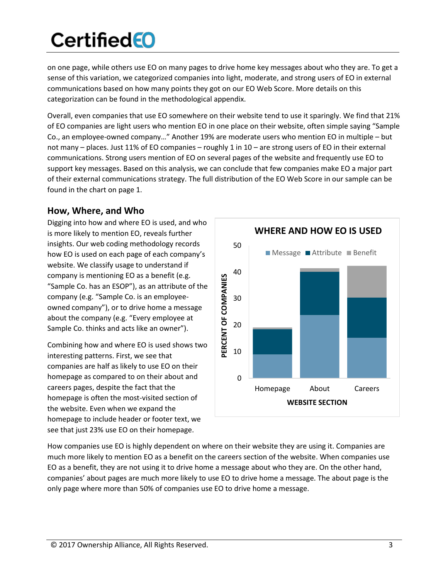on one page, while others use EO on many pages to drive home key messages about who they are. To get a sense of this variation, we categorized companies into light, moderate, and strong users of EO in external communications based on how many points they got on our EO Web Score. More details on this categorization can be found in the methodological appendix.

Overall, even companies that use EO somewhere on their website tend to use it sparingly. We find that 21% of EO companies are light users who mention EO in one place on their website, often simple saying "Sample Co., an employee-owned company…" Another 19% are moderate users who mention EO in multiple – but not many – places. Just 11% of EO companies – roughly 1 in 10 – are strong users of EO in their external communications. Strong users mention of EO on several pages of the website and frequently use EO to support key messages. Based on this analysis, we can conclude that few companies make EO a major part of their external communications strategy. The full distribution of the EO Web Score in our sample can be found in the chart on page 1.

### **How, Where, and Who**

Digging into how and where EO is used, and who is more likely to mention EO, reveals further insights. Our web coding methodology records how EO is used on each page of each company's website. We classify usage to understand if company is mentioning EO as a benefit (e.g. "Sample Co. has an ESOP"), as an attribute of the company (e.g. "Sample Co. is an employeeowned company"), or to drive home a message about the company (e.g. "Every employee at Sample Co. thinks and acts like an owner").

Combining how and where EO is used shows two interesting patterns. First, we see that companies are half as likely to use EO on their homepage as compared to on their about and careers pages, despite the fact that the homepage is often the most-visited section of the website. Even when we expand the homepage to include header or footer text, we see that just 23% use EO on their homepage.



How companies use EO is highly dependent on where on their website they are using it. Companies are much more likely to mention EO as a benefit on the careers section of the website. When companies use EO as a benefit, they are not using it to drive home a message about who they are. On the other hand, companies' about pages are much more likely to use EO to drive home a message. The about page is the only page where more than 50% of companies use EO to drive home a message.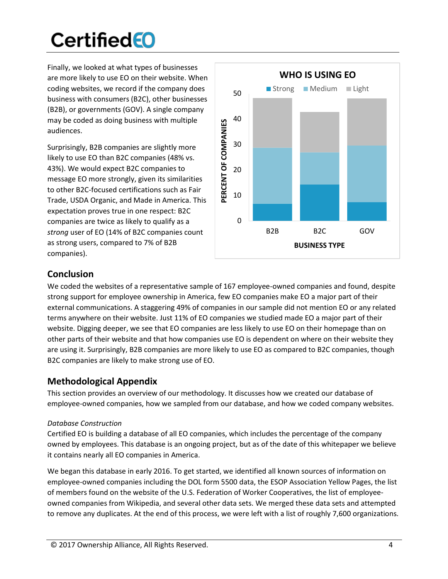Finally, we looked at what types of businesses are more likely to use EO on their website. When coding websites, we record if the company does business with consumers (B2C), other businesses (B2B), or governments (GOV). A single company may be coded as doing business with multiple audiences.

Surprisingly, B2B companies are slightly more likely to use EO than B2C companies (48% vs. 43%). We would expect B2C companies to message EO more strongly, given its similarities to other B2C-focused certifications such as Fair Trade, USDA Organic, and Made in America. This expectation proves true in one respect: B2C companies are twice as likely to qualify as a *strong* user of EO (14% of B2C companies count as strong users, compared to 7% of B2B companies).



## **Conclusion**

We coded the websites of a representative sample of 167 employee-owned companies and found, despite strong support for employee ownership in America, few EO companies make EO a major part of their external communications. A staggering 49% of companies in our sample did not mention EO or any related terms anywhere on their website. Just 11% of EO companies we studied made EO a major part of their website. Digging deeper, we see that EO companies are less likely to use EO on their homepage than on other parts of their website and that how companies use EO is dependent on where on their website they are using it. Surprisingly, B2B companies are more likely to use EO as compared to B2C companies, though B2C companies are likely to make strong use of EO.

## **Methodological Appendix**

This section provides an overview of our methodology. It discusses how we created our database of employee-owned companies, how we sampled from our database, and how we coded company websites.

### *Database Construction*

Certified EO is building a database of all EO companies, which includes the percentage of the company owned by employees. This database is an ongoing project, but as of the date of this whitepaper we believe it contains nearly all EO companies in America.

We began this database in early 2016. To get started, we identified all known sources of information on employee-owned companies including the DOL form 5500 data, the ESOP Association Yellow Pages, the list of members found on the website of the U.S. Federation of Worker Cooperatives, the list of employeeowned companies from Wikipedia, and several other data sets. We merged these data sets and attempted to remove any duplicates. At the end of this process, we were left with a list of roughly 7,600 organizations.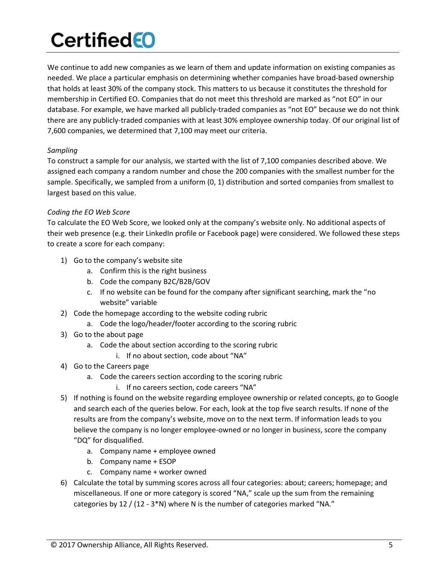We continue to add new companies as we learn of them and update information on existing companies as needed. We place a particular emphasis on determining whether companies have broad-based ownership that holds at least 30% of the company stock. This matters to us because it constitutes the threshold for membership in Certified EO. Companies that do not meet this threshold are marked as "not EO" in our database. For example, we have marked all publicly-traded companies as "not EO" because we do not think there are any publicly-traded companies with at least 30% employee ownership today. Of our original list of 7,600 companies, we determined that 7,100 may meet our criteria.

#### *Sampling*

To construct a sample for our analysis, we started with the list of 7,100 companies described above. We assigned each company a random number and chose the 200 companies with the smallest number for the sample. Specifically, we sampled from a uniform (0, 1) distribution and sorted companies from smallest to largest based on this value.

#### *Coding the EO Web Score*

To calculate the EO Web Score, we looked only at the company's website only. No additional aspects of their web presence (e.g. their LinkedIn profile or Facebook page) were considered. We followed these steps to create a score for each company:

- 1) Go to the company's website site
	- a. Confirm this is the right business
	- b. Code the company B2C/B2B/GOV
	- c. If no website can be found for the company after significant searching, mark the "no website" variable
- 2) Code the homepage according to the website coding rubric
	- a. Code the logo/header/footer according to the scoring rubric
- 3) Go to the about page
	- a. Code the about section according to the scoring rubric
		- i. If no about section, code about "NA"
- 4) Go to the Careers page
	- a. Code the careers section according to the scoring rubric
		- i. If no careers section, code careers "NA"
- 5) If nothing is found on the website regarding employee ownership or related concepts, go to Google and search each of the queries below. For each, look at the top five search results. If none of the results are from the company's website, move on to the next term. If information leads to you believe the company is no longer employee-owned or no longer in business, score the company "DQ" for disqualified.
	- a. Company name + employee owned
	- b. Company name + ESOP
	- c. Company name + worker owned
- 6) Calculate the total by summing scores across all four categories: about; careers; homepage; and miscellaneous. If one or more category is scored "NA," scale up the sum from the remaining categories by 12 / (12 - 3\*N) where N is the number of categories marked "NA."